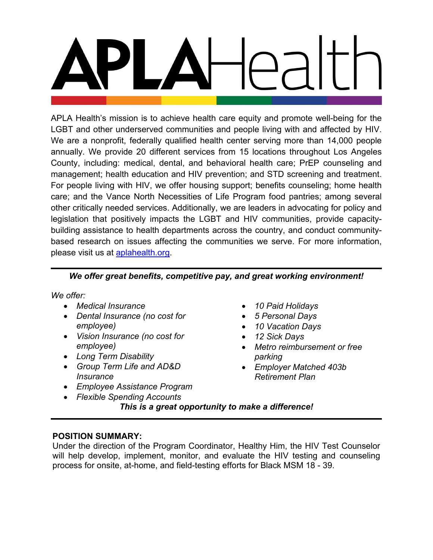APLA Health's mission is to achieve health care equity and promote well-being for the LGBT and other underserved communities and people living with and affected by HIV. We are a nonprofit, federally qualified health center serving more than 14,000 people annually. We provide 20 different services from 15 locations throughout Los Angeles County, including: medical, dental, and behavioral health care; PrEP counseling and management; health education and HIV prevention; and STD screening and treatment. For people living with HIV, we offer housing support; benefits counseling; home health care; and the Vance North Necessities of Life Program food pantries; among several other critically needed services. Additionally, we are leaders in advocating for policy and legislation that positively impacts the LGBT and HIV communities, provide capacitybuilding assistance to health departments across the country, and conduct communitybased research on issues affecting the communities we serve. For more information, please visit us at **aplahealth.org**.

# *We offer great benefits, competitive pay, and great working environment!*

*We offer:*

- *Medical Insurance*
- *Dental Insurance (no cost for employee)*
- *Vision Insurance (no cost for employee)*
- *Long Term Disability*
- *Group Term Life and AD&D Insurance*
- *Employee Assistance Program*
- *Flexible Spending Accounts*
- *10 Paid Holidays*
- *5 Personal Days*
- *10 Vacation Days*
- *12 Sick Days*
- *Metro reimbursement or free parking*
- *Employer Matched 403b Retirement Plan*
- *This is a great opportunity to make a difference!*

## **POSITION SUMMARY:**

Under the direction of the Program Coordinator, Healthy Him, the HIV Test Counselor will help develop, implement, monitor, and evaluate the HIV testing and counseling process for onsite, at-home, and field-testing efforts for Black MSM 18 - 39.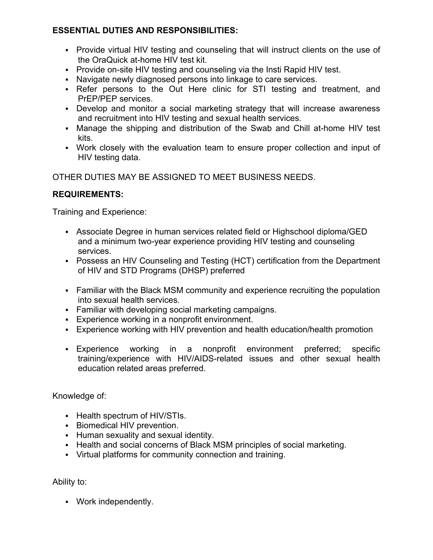# **ESSENTIAL DUTIES AND RESPONSIBILITIES:**

- Provide virtual HIV testing and counseling that will instruct clients on the use of the OraQuick at-home HIV test kit.
- **Provide on-site HIV testing and counseling via the Insti Rapid HIV test.**
- Navigate newly diagnosed persons into linkage to care services.
- Refer persons to the Out Here clinic for STI testing and treatment, and PrEP/PEP services.
- Develop and monitor a social marketing strategy that will increase awareness and recruitment into HIV testing and sexual health services.
- Manage the shipping and distribution of the Swab and Chill at-home HIV test kits.
- Work closely with the evaluation team to ensure proper collection and input of HIV testing data.

OTHER DUTIES MAY BE ASSIGNED TO MEET BUSINESS NEEDS.

## **REQUIREMENTS:**

Training and Experience:

- Associate Degree in human services related field or Highschool diploma/GED and a minimum two-year experience providing HIV testing and counseling services.
- Possess an HIV Counseling and Testing (HCT) certification from the Department of HIV and STD Programs (DHSP) preferred
- Familiar with the Black MSM community and experience recruiting the population into sexual health services.
- Familiar with developing social marketing campaigns.
- Experience working in a nonprofit environment.
- Experience working with HIV prevention and health education/health promotion
- Experience working in a nonprofit environment preferred; specific training/experience with HIV/AIDS-related issues and other sexual health education related areas preferred.

Knowledge of:

- Health spectrum of HIV/STIs.
- **Biomedical HIV prevention.**
- Human sexuality and sexual identity.
- Health and social concerns of Black MSM principles of social marketing.
- Virtual platforms for community connection and training.

Ability to:

Work independently.